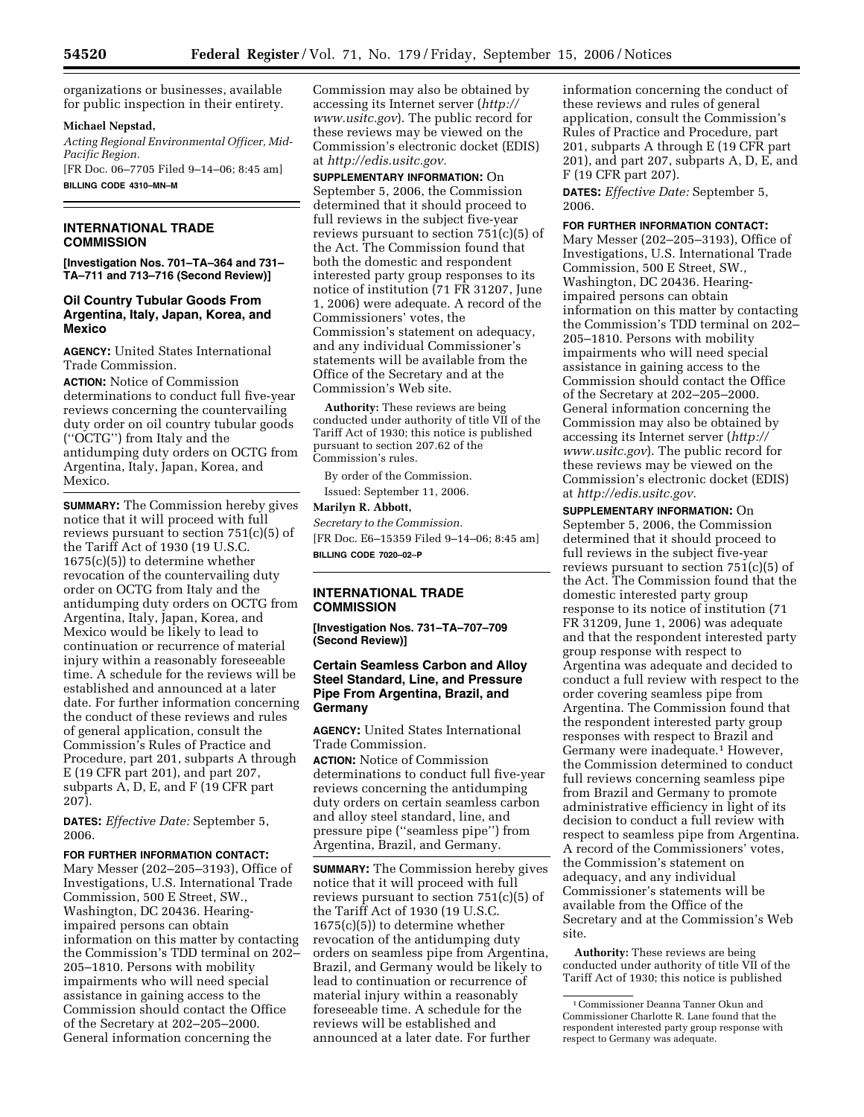organizations or businesses, available for public inspection in their entirety.

### **Michael Nepstad,**

*Acting Regional Environmental Officer, Mid-Pacific Region.* 

[FR Doc. 06–7705 Filed 9–14–06; 8:45 am] **BILLING CODE 4310–MN–M** 

# **INTERNATIONAL TRADE COMMISSION**

**[Investigation Nos. 701–TA–364 and 731– TA–711 and 713–716 (Second Review)]** 

# **Oil Country Tubular Goods From Argentina, Italy, Japan, Korea, and Mexico**

**AGENCY:** United States International Trade Commission.

**ACTION:** Notice of Commission determinations to conduct full five-year reviews concerning the countervailing duty order on oil country tubular goods (''OCTG'') from Italy and the antidumping duty orders on OCTG from Argentina, Italy, Japan, Korea, and Mexico.

**SUMMARY:** The Commission hereby gives notice that it will proceed with full reviews pursuant to section 751(c)(5) of the Tariff Act of 1930 (19 U.S.C. 1675(c)(5)) to determine whether revocation of the countervailing duty order on OCTG from Italy and the antidumping duty orders on OCTG from Argentina, Italy, Japan, Korea, and Mexico would be likely to lead to continuation or recurrence of material injury within a reasonably foreseeable time. A schedule for the reviews will be established and announced at a later date. For further information concerning the conduct of these reviews and rules of general application, consult the Commission's Rules of Practice and Procedure, part 201, subparts A through E (19 CFR part 201), and part 207, subparts A, D, E, and F (19 CFR part 207).

**DATES:** *Effective Date:* September 5, 2006.

### **FOR FURTHER INFORMATION CONTACT:**

Mary Messer (202–205–3193), Office of Investigations, U.S. International Trade Commission, 500 E Street, SW., Washington, DC 20436. Hearingimpaired persons can obtain information on this matter by contacting the Commission's TDD terminal on 202– 205–1810. Persons with mobility impairments who will need special assistance in gaining access to the Commission should contact the Office of the Secretary at 202–205–2000. General information concerning the

Commission may also be obtained by accessing its Internet server (*http:// www.usitc.gov*). The public record for these reviews may be viewed on the Commission's electronic docket (EDIS) at *http://edis.usitc.gov.* 

**SUPPLEMENTARY INFORMATION:** On September 5, 2006, the Commission determined that it should proceed to full reviews in the subject five-year reviews pursuant to section  $751(c)(5)$  of the Act. The Commission found that both the domestic and respondent interested party group responses to its notice of institution (71 FR 31207, June 1, 2006) were adequate. A record of the Commissioners' votes, the Commission's statement on adequacy, and any individual Commissioner's statements will be available from the Office of the Secretary and at the Commission's Web site.

**Authority:** These reviews are being conducted under authority of title VII of the Tariff Act of 1930; this notice is published pursuant to section 207.62 of the Commission's rules.

By order of the Commission.

Issued: September 11, 2006.

# **Marilyn R. Abbott,**

*Secretary to the Commission.*  [FR Doc. E6–15359 Filed 9–14–06; 8:45 am] **BILLING CODE 7020–02–P** 

# **INTERNATIONAL TRADE COMMISSION**

**[Investigation Nos. 731–TA–707–709 (Second Review)]** 

# **Certain Seamless Carbon and Alloy Steel Standard, Line, and Pressure Pipe From Argentina, Brazil, and Germany**

**AGENCY:** United States International Trade Commission.

**ACTION:** Notice of Commission determinations to conduct full five-year reviews concerning the antidumping duty orders on certain seamless carbon and alloy steel standard, line, and pressure pipe (''seamless pipe'') from Argentina, Brazil, and Germany.

**SUMMARY:** The Commission hereby gives notice that it will proceed with full reviews pursuant to section 751(c)(5) of the Tariff Act of 1930 (19 U.S.C. 1675(c)(5)) to determine whether revocation of the antidumping duty orders on seamless pipe from Argentina, Brazil, and Germany would be likely to lead to continuation or recurrence of material injury within a reasonably foreseeable time. A schedule for the reviews will be established and announced at a later date. For further

information concerning the conduct of these reviews and rules of general application, consult the Commission's Rules of Practice and Procedure, part 201, subparts A through E (19 CFR part 201), and part 207, subparts A, D, E, and F (19 CFR part 207).

**DATES:** *Effective Date:* September 5, 2006.

#### **FOR FURTHER INFORMATION CONTACT:**

Mary Messer (202–205–3193), Office of Investigations, U.S. International Trade Commission, 500 E Street, SW., Washington, DC 20436. Hearingimpaired persons can obtain information on this matter by contacting the Commission's TDD terminal on 202– 205–1810. Persons with mobility impairments who will need special assistance in gaining access to the Commission should contact the Office of the Secretary at 202–205–2000. General information concerning the Commission may also be obtained by accessing its Internet server (*http:// www.usitc.gov*). The public record for these reviews may be viewed on the Commission's electronic docket (EDIS) at *http://edis.usitc.gov.* 

**SUPPLEMENTARY INFORMATION:** On

September 5, 2006, the Commission determined that it should proceed to full reviews in the subject five-year reviews pursuant to section 751(c)(5) of the Act. The Commission found that the domestic interested party group response to its notice of institution (71 FR 31209, June 1, 2006) was adequate and that the respondent interested party group response with respect to Argentina was adequate and decided to conduct a full review with respect to the order covering seamless pipe from Argentina. The Commission found that the respondent interested party group responses with respect to Brazil and Germany were inadequate.1 However, the Commission determined to conduct full reviews concerning seamless pipe from Brazil and Germany to promote administrative efficiency in light of its decision to conduct a full review with respect to seamless pipe from Argentina. A record of the Commissioners' votes, the Commission's statement on adequacy, and any individual Commissioner's statements will be available from the Office of the Secretary and at the Commission's Web site.

**Authority:** These reviews are being conducted under authority of title VII of the Tariff Act of 1930; this notice is published

<sup>1</sup>Commissioner Deanna Tanner Okun and Commissioner Charlotte R. Lane found that the respondent interested party group response with respect to Germany was adequate.